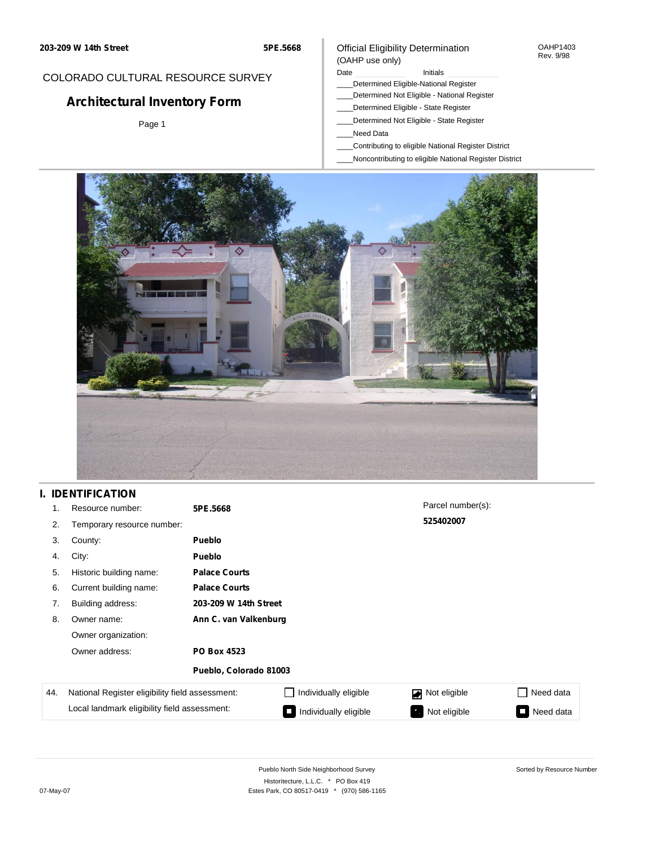#### OAHP1403 Rev. 9/98

## COLORADO CULTURAL RESOURCE SURVEY

# **Architectural Inventory Form**

Page 1

### (OAHP use only) Date **Initials** Initials

\_\_\_\_Determined Eligible-National Register

Official Eligibility Determination

- \_\_\_\_Determined Not Eligible National Register
- \_\_\_\_Determined Eligible State Register
- \_\_\_\_Determined Not Eligible State Register
- \_\_\_\_Need Data
- \_\_\_\_Contributing to eligible National Register District
- \_\_\_\_Noncontributing to eligible National Register District



## **I. IDENTIFICATION**

| 1.  | Resource number:                                | 5PE.5668               |                       | Parcel number(s): |                                       |  |  |
|-----|-------------------------------------------------|------------------------|-----------------------|-------------------|---------------------------------------|--|--|
| 2.  | Temporary resource number:                      |                        |                       | 525402007         |                                       |  |  |
| 3.  | County:                                         | <b>Pueblo</b>          |                       |                   |                                       |  |  |
| 4.  | City:                                           | <b>Pueblo</b>          |                       |                   |                                       |  |  |
| 5.  | Historic building name:                         | <b>Palace Courts</b>   |                       |                   |                                       |  |  |
| 6.  | Current building name:                          | <b>Palace Courts</b>   |                       |                   |                                       |  |  |
| 7.  | Building address:                               | 203-209 W 14th Street  |                       |                   |                                       |  |  |
| 8.  | Owner name:                                     |                        | Ann C. van Valkenburg |                   |                                       |  |  |
|     | Owner organization:                             |                        |                       |                   |                                       |  |  |
|     | Owner address:                                  | <b>PO Box 4523</b>     |                       |                   |                                       |  |  |
|     |                                                 | Pueblo, Colorado 81003 |                       |                   |                                       |  |  |
| 44. | National Register eligibility field assessment: |                        | Individually eligible | Not eligible      | Need data<br>$\overline{\phantom{a}}$ |  |  |
|     | Local landmark eligibility field assessment:    |                        | Individually eligible | Not eligible      | Need data                             |  |  |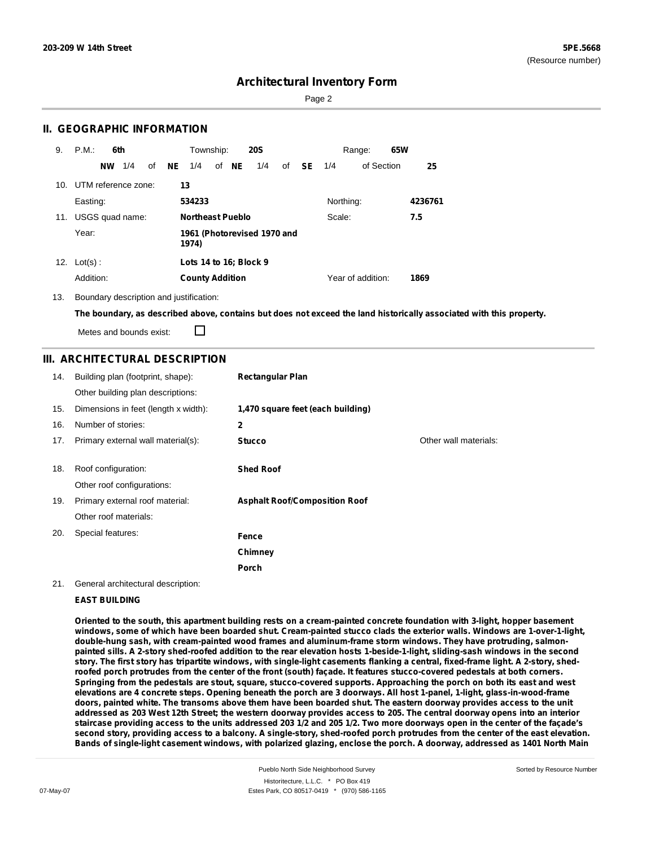Sorted by Resource Number

## **Architectural Inventory Form**

Page 2

## **II. GEOGRAPHIC INFORMATION**

| 9.  | P.M.                    | 6th |    |     | Township:               |       | <b>20S</b>                  |    |           |           | Range:            | 65W |         |
|-----|-------------------------|-----|----|-----|-------------------------|-------|-----------------------------|----|-----------|-----------|-------------------|-----|---------|
|     | <b>NW</b>               | 1/4 | of | NE. | 1/4                     | of NE | 1/4                         | of | <b>SE</b> | 1/4       | of Section        |     | 25      |
|     | 10. UTM reference zone: |     |    | 13  |                         |       |                             |    |           |           |                   |     |         |
|     | Easting:                |     |    |     | 534233                  |       |                             |    |           | Northing: |                   |     | 4236761 |
| 11. | USGS quad name:         |     |    |     | <b>Northeast Pueblo</b> |       |                             |    |           | Scale:    |                   |     | 7.5     |
|     | Year:                   |     |    |     | 1974)                   |       | 1961 (Photorevised 1970 and |    |           |           |                   |     |         |
| 12. | $Lot(s)$ :              |     |    |     | Lots 14 to 16; Block 9  |       |                             |    |           |           |                   |     |         |
|     | Addition:               |     |    |     | <b>County Addition</b>  |       |                             |    |           |           | Year of addition: |     | 1869    |

13. Boundary description and justification:

The boundary, as described above, contains but does not exceed the land historically associated with this property.

Metes and bounds exist:

П

## **III. ARCHITECTURAL DESCRIPTION**

| 14. | Building plan (footprint, shape):<br>Other building plan descriptions: | <b>Rectangular Plan</b>              |                       |
|-----|------------------------------------------------------------------------|--------------------------------------|-----------------------|
| 15. | Dimensions in feet (length x width):                                   | 1,470 square feet (each building)    |                       |
| 16. | Number of stories:                                                     | $\mathbf{2}$                         |                       |
| 17. | Primary external wall material(s):                                     | <b>Stucco</b>                        | Other wall materials: |
|     |                                                                        |                                      |                       |
| 18. | Roof configuration:                                                    | <b>Shed Roof</b>                     |                       |
|     | Other roof configurations:                                             |                                      |                       |
| 19. | Primary external roof material:                                        | <b>Asphalt Roof/Composition Roof</b> |                       |
|     | Other roof materials:                                                  |                                      |                       |
| 20. | Special features:                                                      | Fence                                |                       |
|     |                                                                        | Chimney                              |                       |
|     |                                                                        | Porch                                |                       |

#### 21. General architectural description:

#### **EAST BUILDING**

Oriented to the south, this apartment building rests on a cream-painted concrete foundation with 3-light, hopper basement windows, some of which have been boarded shut. Cream-painted stucco clads the exterior walls. Windows are 1-over-1-light, **double-hung sash, with cream-painted wood frames and aluminum-frame storm windows. They have protruding, salmon**painted sills. A 2-story shed-roofed addition to the rear elevation hosts 1-beside-1-light, sliding-sash windows in the second story. The first story has tripartite windows, with single-light casements flanking a central, fixed-frame light. A 2-story, shedroofed porch protrudes from the center of the front (south) façade. It features stucco-covered pedestals at both corners. Springing from the pedestals are stout, square, stucco-covered supports. Approaching the porch on both its east and west elevations are 4 concrete steps. Opening beneath the porch are 3 doorways. All host 1-panel, 1-light, glass-in-wood-frame doors, painted white. The transoms above them have been boarded shut. The eastern doorway provides access to the unit addressed as 203 West 12th Street; the western doorway provides access to 205. The central doorway opens into an interior staircase providing access to the units addressed 203 1/2 and 205 1/2. Two more doorways open in the center of the façade's second story, providing access to a balcony. A single-story, shed-roofed porch protrudes from the center of the east elevation. Bands of single-light casement windows, with polarized glazing, enclose the porch. A doorway, addressed as 1401 North Main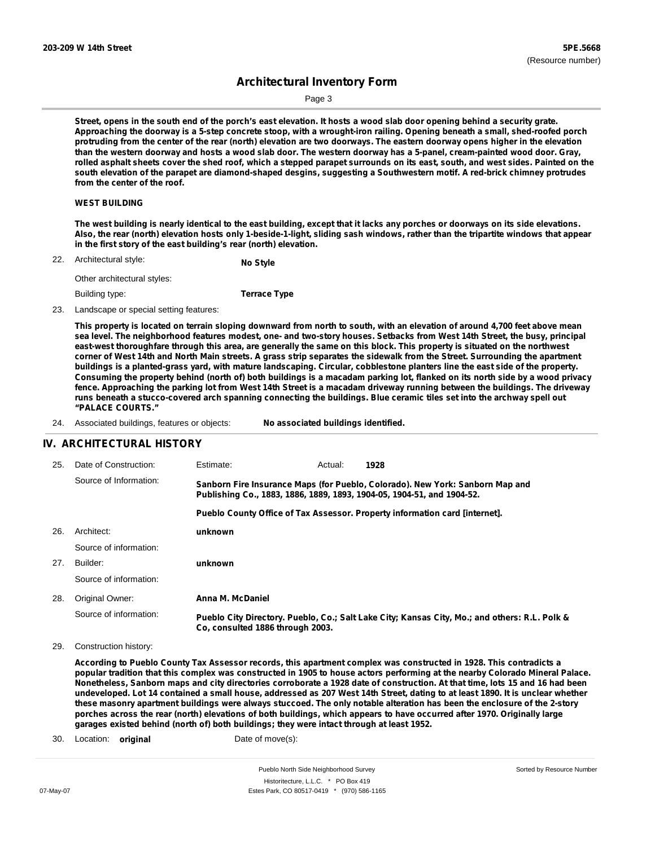Sorted by Resource Number

## **Architectural Inventory Form**

Page 3

Street, opens in the south end of the porch's east elevation. It hosts a wood slab door opening behind a security grate. Approaching the doorway is a 5-step concrete stoop, with a wrought-iron railing. Opening beneath a small, shed-roofed porch protruding from the center of the rear (north) elevation are two doorways. The eastern doorway opens higher in the elevation than the western doorway and hosts a wood slab door. The western doorway has a 5-panel, cream-painted wood door. Gray, rolled asphalt sheets cover the shed roof, which a stepped parapet surrounds on its east, south, and west sides. Painted on the south elevation of the parapet are diamond-shaped desgins, suggesting a Southwestern motif. A red-brick chimney protrudes **from the center of the roof.**

#### **WEST BUILDING**

The west building is nearly identical to the east building, except that it lacks any porches or doorways on its side elevations. Also, the rear (north) elevation hosts only 1-beside-1-light, sliding sash windows, rather than the tripartite windows that appear **in the first story of the east building's rear (north) elevation.**

| 22. | Architectural style:        | No Style |
|-----|-----------------------------|----------|
|     | Other architectural styles: |          |

Building type:

#### 23. Landscape or special setting features:

This property is located on terrain sloping downward from north to south, with an elevation of around 4,700 feet above mean sea level. The neighborhood features modest, one- and two-story houses. Setbacks from West 14th Street, the busy, principal east-west thoroughfare through this area, are generally the same on this block. This property is situated on the northwest corner of West 14th and North Main streets. A grass strip separates the sidewalk from the Street. Surrounding the apartment buildings is a planted-grass yard, with mature landscaping. Circular, cobblestone planters line the east side of the property. Consuming the property behind (north of) both buildings is a macadam parking lot, flanked on its north side by a wood privacy fence. Approaching the parking lot from West 14th Street is a macadam driveway running between the buildings. The driveway runs beneath a stucco-covered arch spanning connecting the buildings. Blue ceramic tiles set into the archway spell out **"PALACE COURTS."**

| 24. | Associated buildings, features or objects: |  | No associated buildings identified. |
|-----|--------------------------------------------|--|-------------------------------------|
|-----|--------------------------------------------|--|-------------------------------------|

**Terrace Type**

### **IV. ARCHITECTURAL HISTORY**

| 25. | Date of Construction:  | Estimate:                                                              | Actual: | 1928                                                                                          |
|-----|------------------------|------------------------------------------------------------------------|---------|-----------------------------------------------------------------------------------------------|
|     | Source of Information: | Publishing Co., 1883, 1886, 1889, 1893, 1904-05, 1904-51, and 1904-52. |         | Sanborn Fire Insurance Maps (for Pueblo, Colorado). New York: Sanborn Map and                 |
|     |                        |                                                                        |         | Pueblo County Office of Tax Assessor. Property information card [internet].                   |
| 26. | Architect:             | unknown                                                                |         |                                                                                               |
|     | Source of information: |                                                                        |         |                                                                                               |
| 27. | Builder:               | unknown                                                                |         |                                                                                               |
|     | Source of information: |                                                                        |         |                                                                                               |
| 28. | Original Owner:        | Anna M. McDaniel                                                       |         |                                                                                               |
|     | Source of information: | Co. consulted 1886 through 2003.                                       |         | Pueblo City Directory. Pueblo, Co.; Salt Lake City; Kansas City, Mo.; and others: R.L. Polk & |

29. Construction history:

According to Pueblo County Tax Assessor records, this apartment complex was constructed in 1928. This contradicts a popular tradition that this complex was constructed in 1905 to house actors performing at the nearby Colorado Mineral Palace. Nonetheless, Sanborn maps and city directories corroborate a 1928 date of construction. At that time, lots 15 and 16 had been undeveloped. Lot 14 contained a small house, addressed as 207 West 14th Street, dating to at least 1890. It is unclear whether these masonry apartment buildings were always stuccoed. The only notable alteration has been the enclosure of the 2-story porches across the rear (north) elevations of both buildings, which appears to have occurred after 1970. Originally large **garages existed behind (north of) both buildings; they were intact through at least 1952.**

30. Location: **original** Date of move(s):

Pueblo North Side Neighborhood Survey Historitecture, L.L.C. \* PO Box 419 07-May-07 Estes Park, CO 80517-0419 \* (970) 586-1165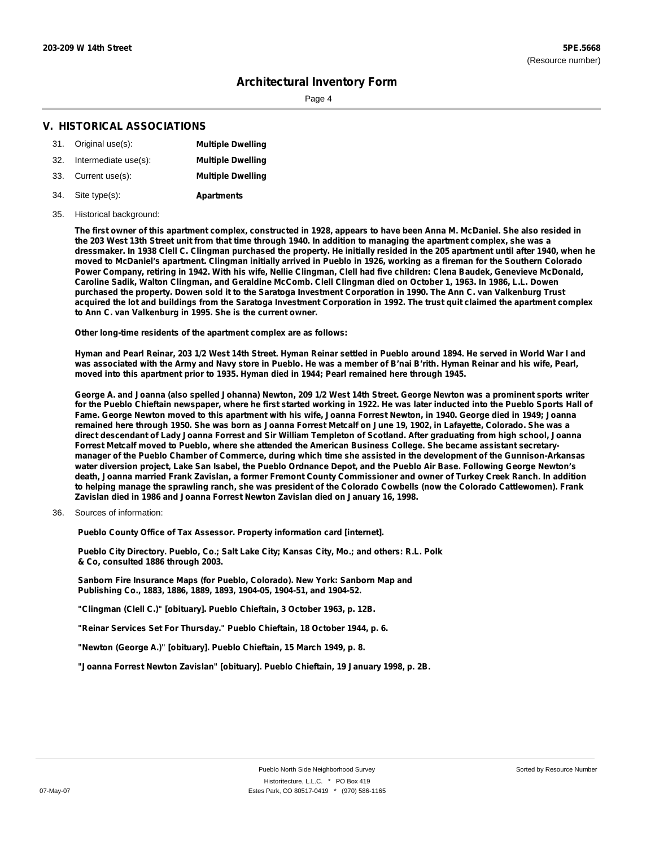## **Architectural Inventory Form**

Page 4

## **V. HISTORICAL ASSOCIATIONS**

|     | 31. Original use(s): | <b>Multiple Dwelling</b> |
|-----|----------------------|--------------------------|
| 32. | Intermediate use(s): | <b>Multiple Dwelling</b> |
| 33. | Current use(s):      | <b>Multiple Dwelling</b> |

- **Apartments** Site type(s): 34.
- 35. Historical background:

The first owner of this apartment complex, constructed in 1928, appears to have been Anna M. McDaniel. She also resided in the 203 West 13th Street unit from that time through 1940. In addition to managing the apartment complex, she was a dressmaker. In 1938 Clell C. Clingman purchased the property. He initially resided in the 205 apartment until after 1940, when he moved to McDaniel's apartment. Clingman initially arrived in Pueblo in 1926, working as a fireman for the Southern Colorado Power Company, retiring in 1942. With his wife, Nellie Clingman, Clell had five children: Clena Baudek, Genevieve McDonald, Caroline Sadik, Walton Clingman, and Geraldine McComb. Clell Clingman died on October 1, 1963. In 1986, L.L. Dowen purchased the property. Dowen sold it to the Saratoga Investment Corporation in 1990. The Ann C. van Valkenburg Trust acquired the lot and buildings from the Saratoga Investment Corporation in 1992. The trust quit claimed the apartment complex **to Ann C. van Valkenburg in 1995. She is the current owner.**

**Other long-time residents of the apartment complex are as follows:**

Hyman and Pearl Reinar, 203 1/2 West 14th Street. Hyman Reinar settled in Pueblo around 1894. He served in World War I and was associated with the Army and Navy store in Pueblo. He was a member of B'nai B'rith. Hyman Reinar and his wife, Pearl, **moved into this apartment prior to 1935. Hyman died in 1944; Pearl remained here through 1945.**

George A. and Joanna (also spelled Johanna) Newton, 209 1/2 West 14th Street. George Newton was a prominent sports writer for the Pueblo Chieftain newspaper, where he first started working in 1922. He was later inducted into the Pueblo Sports Hall of Fame. George Newton moved to this apartment with his wife, Joanna Forrest Newton, in 1940. George died in 1949; Joanna remained here through 1950. She was born as Joanna Forrest Metcalf on June 19, 1902, in Lafayette, Colorado. She was a direct descendant of Lady Joanna Forrest and Sir William Templeton of Scotland. After graduating from high school, Joanna Forrest Metcalf moved to Pueblo, where she attended the American Business College. She became assistant secretarymanager of the Pueblo Chamber of Commerce, during which time she assisted in the development of the Gunnison-Arkansas water diversion project, Lake San Isabel, the Pueblo Ordnance Depot, and the Pueblo Air Base. Following George Newton's death, Joanna married Frank Zavislan, a former Fremont County Commissioner and owner of Turkey Creek Ranch. In addition to helping manage the sprawling ranch, she was president of the Colorado Cowbells (now the Colorado Cattlewomen). Frank **Zavislan died in 1986 and Joanna Forrest Newton Zavislan died on January 16, 1998.**

Sources of information: 36.

**Pueblo County Office of Tax Assessor. Property information card [internet].**

**Pueblo City Directory. Pueblo, Co.; Salt Lake City; Kansas City, Mo.; and others: R.L. Polk & Co, consulted 1886 through 2003.**

**Sanborn Fire Insurance Maps (for Pueblo, Colorado). New York: Sanborn Map and Publishing Co., 1883, 1886, 1889, 1893, 1904-05, 1904-51, and 1904-52.**

**"Clingman (Clell C.)" [obituary]. Pueblo Chieftain, 3 October 1963, p. 12B.**

**"Reinar Services Set For Thursday." Pueblo Chieftain, 18 October 1944, p. 6.**

**"Newton (George A.)" [obituary]. Pueblo Chieftain, 15 March 1949, p. 8.**

**"Joanna Forrest Newton Zavislan" [obituary]. Pueblo Chieftain, 19 January 1998, p. 2B.**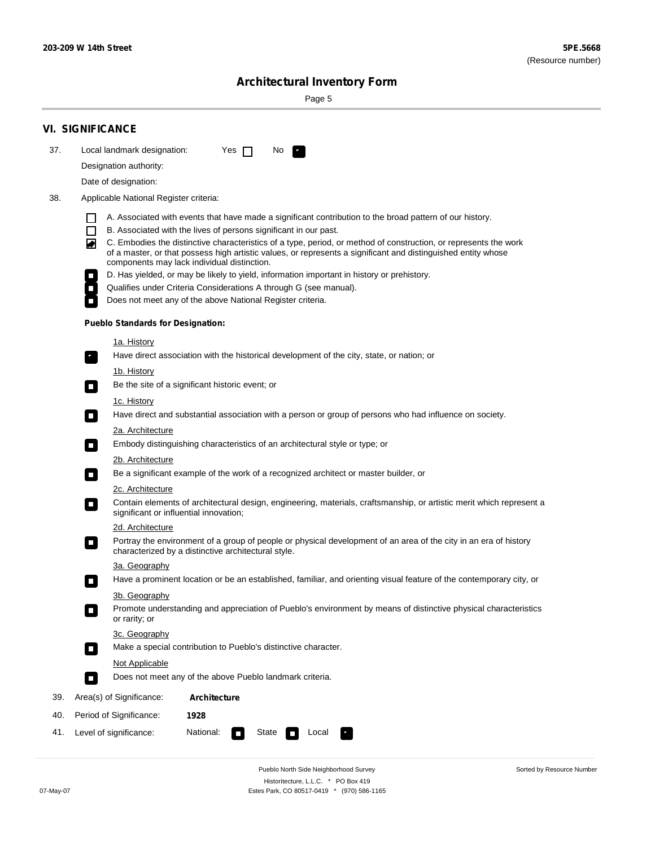÷

Sorted by Resource Number

# **Architectural Inventory Form**

Page 5

|     | <b>VI. SIGNIFICANCE</b>                                         |                                                                                                                                                                                                                                   |  |  |  |  |  |  |
|-----|-----------------------------------------------------------------|-----------------------------------------------------------------------------------------------------------------------------------------------------------------------------------------------------------------------------------|--|--|--|--|--|--|
| 37. | Local landmark designation:                                     | Yes $\Box$<br>No.<br>$\mathcal{F}_\alpha^{\alpha}$                                                                                                                                                                                |  |  |  |  |  |  |
|     | Designation authority:                                          |                                                                                                                                                                                                                                   |  |  |  |  |  |  |
|     | Date of designation:                                            |                                                                                                                                                                                                                                   |  |  |  |  |  |  |
| 38. | Applicable National Register criteria:                          |                                                                                                                                                                                                                                   |  |  |  |  |  |  |
|     |                                                                 | A. Associated with events that have made a significant contribution to the broad pattern of our history.                                                                                                                          |  |  |  |  |  |  |
|     | ΙI<br>$\Box$                                                    | B. Associated with the lives of persons significant in our past.                                                                                                                                                                  |  |  |  |  |  |  |
|     | ◚                                                               | C. Embodies the distinctive characteristics of a type, period, or method of construction, or represents the work<br>of a master, or that possess high artistic values, or represents a significant and distinguished entity whose |  |  |  |  |  |  |
|     |                                                                 | components may lack individual distinction.<br>D. Has yielded, or may be likely to yield, information important in history or prehistory.                                                                                         |  |  |  |  |  |  |
|     | $\overline{\phantom{a}}$                                        | Qualifies under Criteria Considerations A through G (see manual).                                                                                                                                                                 |  |  |  |  |  |  |
|     |                                                                 | Does not meet any of the above National Register criteria.                                                                                                                                                                        |  |  |  |  |  |  |
|     | <b>Pueblo Standards for Designation:</b>                        |                                                                                                                                                                                                                                   |  |  |  |  |  |  |
|     | 1a. History                                                     |                                                                                                                                                                                                                                   |  |  |  |  |  |  |
|     | $\overline{\phantom{a}}$ .                                      | Have direct association with the historical development of the city, state, or nation; or                                                                                                                                         |  |  |  |  |  |  |
|     | 1b. History<br>$\Box$                                           | Be the site of a significant historic event; or                                                                                                                                                                                   |  |  |  |  |  |  |
|     | 1c. History<br>$\overline{\phantom{a}}$                         | Have direct and substantial association with a person or group of persons who had influence on society.                                                                                                                           |  |  |  |  |  |  |
|     | 2a. Architecture                                                |                                                                                                                                                                                                                                   |  |  |  |  |  |  |
|     |                                                                 | Embody distinguishing characteristics of an architectural style or type; or                                                                                                                                                       |  |  |  |  |  |  |
|     | 2b. Architecture                                                |                                                                                                                                                                                                                                   |  |  |  |  |  |  |
|     | $\overline{\phantom{a}}$                                        | Be a significant example of the work of a recognized architect or master builder, or                                                                                                                                              |  |  |  |  |  |  |
|     |                                                                 | 2c. Architecture                                                                                                                                                                                                                  |  |  |  |  |  |  |
|     | $\Box$                                                          | Contain elements of architectural design, engineering, materials, craftsmanship, or artistic merit which represent a<br>significant or influential innovation;                                                                    |  |  |  |  |  |  |
|     | 2d. Architecture                                                |                                                                                                                                                                                                                                   |  |  |  |  |  |  |
|     | $\blacksquare$                                                  | Portray the environment of a group of people or physical development of an area of the city in an era of history<br>characterized by a distinctive architectural style.                                                           |  |  |  |  |  |  |
|     | 3a. Geography                                                   |                                                                                                                                                                                                                                   |  |  |  |  |  |  |
|     |                                                                 | Have a prominent location or be an established, familiar, and orienting visual feature of the contemporary city, or                                                                                                               |  |  |  |  |  |  |
|     | 3b. Geography<br>or rarity; or                                  | Promote understanding and appreciation of Pueblo's environment by means of distinctive physical characteristics                                                                                                                   |  |  |  |  |  |  |
|     | 3c. Geography<br>$\Box$                                         | Make a special contribution to Pueblo's distinctive character.                                                                                                                                                                    |  |  |  |  |  |  |
|     | <b>Not Applicable</b>                                           |                                                                                                                                                                                                                                   |  |  |  |  |  |  |
|     | $\Box$                                                          | Does not meet any of the above Pueblo landmark criteria.                                                                                                                                                                          |  |  |  |  |  |  |
| 39. | Area(s) of Significance:                                        | <b>Architecture</b>                                                                                                                                                                                                               |  |  |  |  |  |  |
| 40. | Period of Significance:                                         | 1928                                                                                                                                                                                                                              |  |  |  |  |  |  |
| 41. | National:<br>State<br>Level of significance:<br>Local<br>$\sim$ |                                                                                                                                                                                                                                   |  |  |  |  |  |  |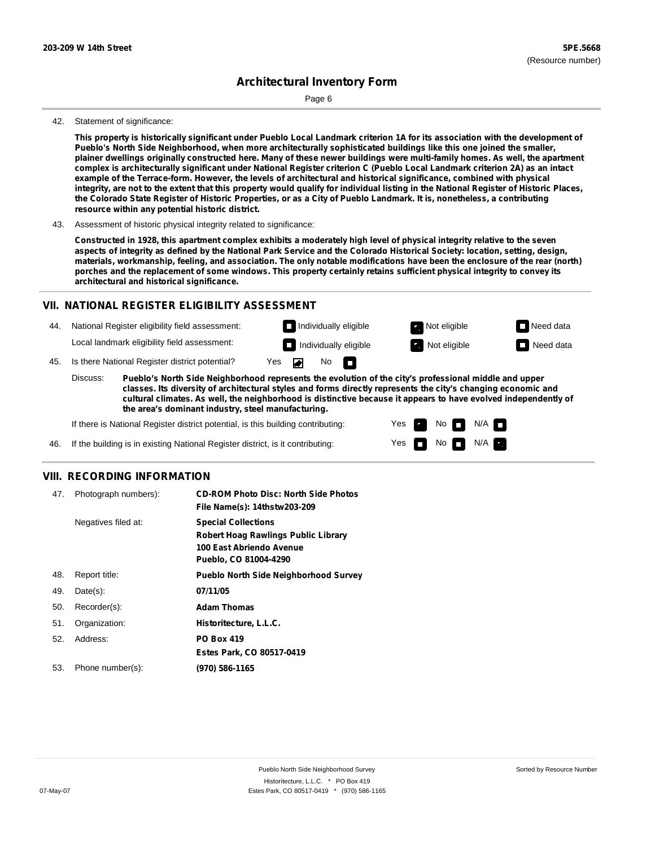# **Architectural Inventory Form**

Page 6

#### 42. Statement of significance:

This property is historically significant under Pueblo Local Landmark criterion 1A for its association with the development of **Pueblo's North Side Neighborhood, when more architecturally sophisticated buildings like this one joined the smaller,** plainer dwellings originally constructed here. Many of these newer buildings were multi-family homes. As well, the apartment complex is architecturally significant under National Register criterion C (Pueblo Local Landmark criterion 2A) as an intact **example of the Terrace-form. However, the levels of architectural and historical significance, combined with physical** integrity, are not to the extent that this property would qualify for individual listing in the National Register of Historic Places, the Colorado State Register of Historic Properties, or as a City of Pueblo Landmark. It is, nonetheless, a contributing **resource within any potential historic district.**

43. Assessment of historic physical integrity related to significance:

Constructed in 1928, this apartment complex exhibits a moderately high level of physical integrity relative to the seven aspects of integrity as defined by the National Park Service and the Colorado Historical Society: location, setting, design, materials, workmanship, feeling, and association. The only notable modifications have been the enclosure of the rear (north) porches and the replacement of some windows. This property certainly retains sufficient physical integrity to convey its **architectural and historical significance.**

### **VII. NATIONAL REGISTER ELIGIBILITY ASSESSMENT**

44. National Register eligibility field assessment: Local landmark eligibility field assessment:

**Individually eligible Not eligible** Not eligible **Need data** 45. Is there National Register district potential? Yes ▰ No m

**Pueblo's North Side Neighborhood represents the evolution of the city's professional middle and upper classes. Its diversity of architectural styles and forms directly represents the city's changing economic and cultural climates. As well, the neighborhood is distinctive because it appears to have evolved independently of the area's dominant industry, steel manufacturing.** Discuss:

> Yes Yes

No

**Individually eligible Not eligible** Not eligible **Need data** 

 $No$   $\neg$   $N/A$ 

 $N/A$ 

If there is National Register district potential, is this building contributing:

If the building is in existing National Register district, is it contributing: 46.

### **VIII. RECORDING INFORMATION**

| 47. | Photograph numbers): | <b>CD-ROM Photo Disc: North Side Photos</b><br>File Name(s): 14thstw203-209                                                   |
|-----|----------------------|-------------------------------------------------------------------------------------------------------------------------------|
|     | Negatives filed at:  | <b>Special Collections</b><br><b>Robert Hoag Rawlings Public Library</b><br>100 East Abriendo Avenue<br>Pueblo, CO 81004-4290 |
| 48. | Report title:        | <b>Pueblo North Side Neighborhood Survey</b>                                                                                  |
| 49. | $Date(s)$ :          | 07/11/05                                                                                                                      |
| 50. | Recorder(s):         | <b>Adam Thomas</b>                                                                                                            |
| 51. | Organization:        | Historitecture, L.L.C.                                                                                                        |
| 52. | Address:             | <b>PO Box 419</b>                                                                                                             |
|     |                      | Estes Park, CO 80517-0419                                                                                                     |
| 53. | Phone number(s):     | (970) 586-1165                                                                                                                |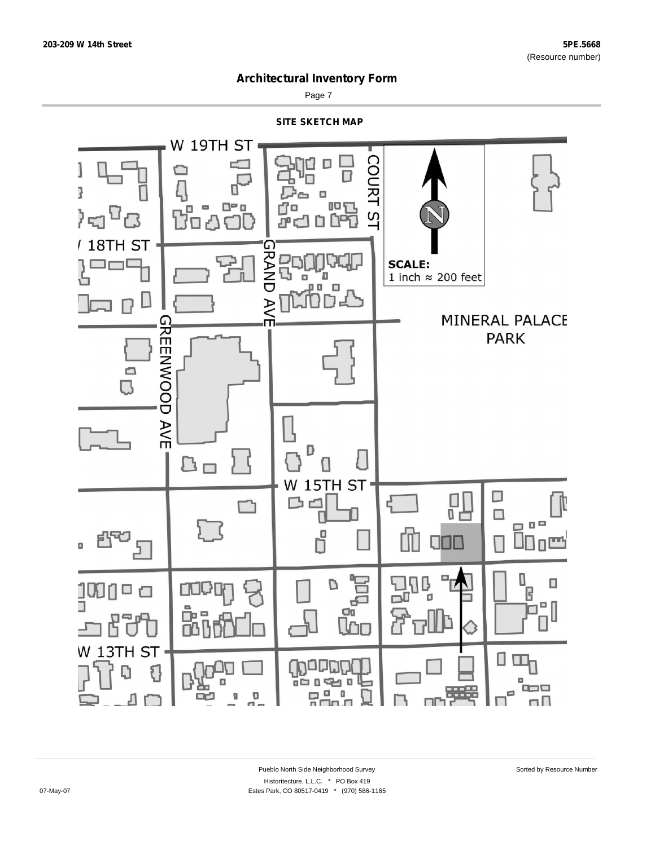

Page 7